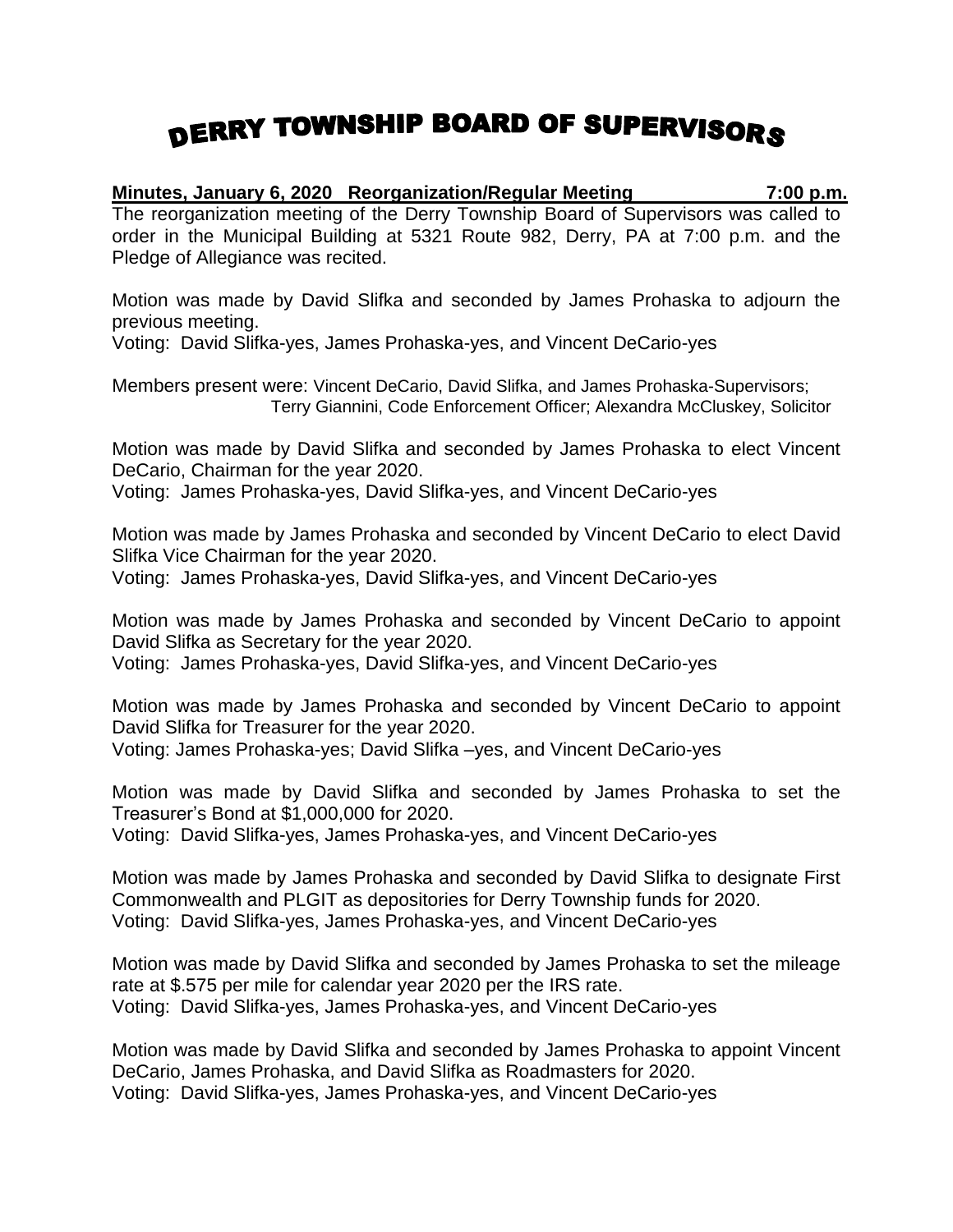## DERRY TOWNSHIP BOARD OF SUPERVISORS

**Minutes, January 6, 2020 Reorganization/Regular Meeting 7:00 p.m.** The reorganization meeting of the Derry Township Board of Supervisors was called to order in the Municipal Building at 5321 Route 982, Derry, PA at 7:00 p.m. and the Pledge of Allegiance was recited.

Motion was made by David Slifka and seconded by James Prohaska to adjourn the previous meeting.

Voting: David Slifka-yes, James Prohaska-yes, and Vincent DeCario-yes

Members present were: Vincent DeCario, David Slifka, and James Prohaska-Supervisors; Terry Giannini, Code Enforcement Officer; Alexandra McCluskey, Solicitor

Motion was made by David Slifka and seconded by James Prohaska to elect Vincent DeCario, Chairman for the year 2020.

Voting: James Prohaska-yes, David Slifka-yes, and Vincent DeCario-yes

Motion was made by James Prohaska and seconded by Vincent DeCario to elect David Slifka Vice Chairman for the year 2020. Voting: James Prohaska-yes, David Slifka-yes, and Vincent DeCario-yes

Motion was made by James Prohaska and seconded by Vincent DeCario to appoint David Slifka as Secretary for the year 2020.

Voting: James Prohaska-yes, David Slifka-yes, and Vincent DeCario-yes

Motion was made by James Prohaska and seconded by Vincent DeCario to appoint David Slifka for Treasurer for the year 2020. Voting: James Prohaska-yes; David Slifka –yes, and Vincent DeCario-yes

Motion was made by David Slifka and seconded by James Prohaska to set the Treasurer's Bond at \$1,000,000 for 2020.

Voting: David Slifka-yes, James Prohaska-yes, and Vincent DeCario-yes

Motion was made by James Prohaska and seconded by David Slifka to designate First Commonwealth and PLGIT as depositories for Derry Township funds for 2020. Voting: David Slifka-yes, James Prohaska-yes, and Vincent DeCario-yes

Motion was made by David Slifka and seconded by James Prohaska to set the mileage rate at \$.575 per mile for calendar year 2020 per the IRS rate. Voting: David Slifka-yes, James Prohaska-yes, and Vincent DeCario-yes

Motion was made by David Slifka and seconded by James Prohaska to appoint Vincent DeCario, James Prohaska, and David Slifka as Roadmasters for 2020. Voting: David Slifka-yes, James Prohaska-yes, and Vincent DeCario-yes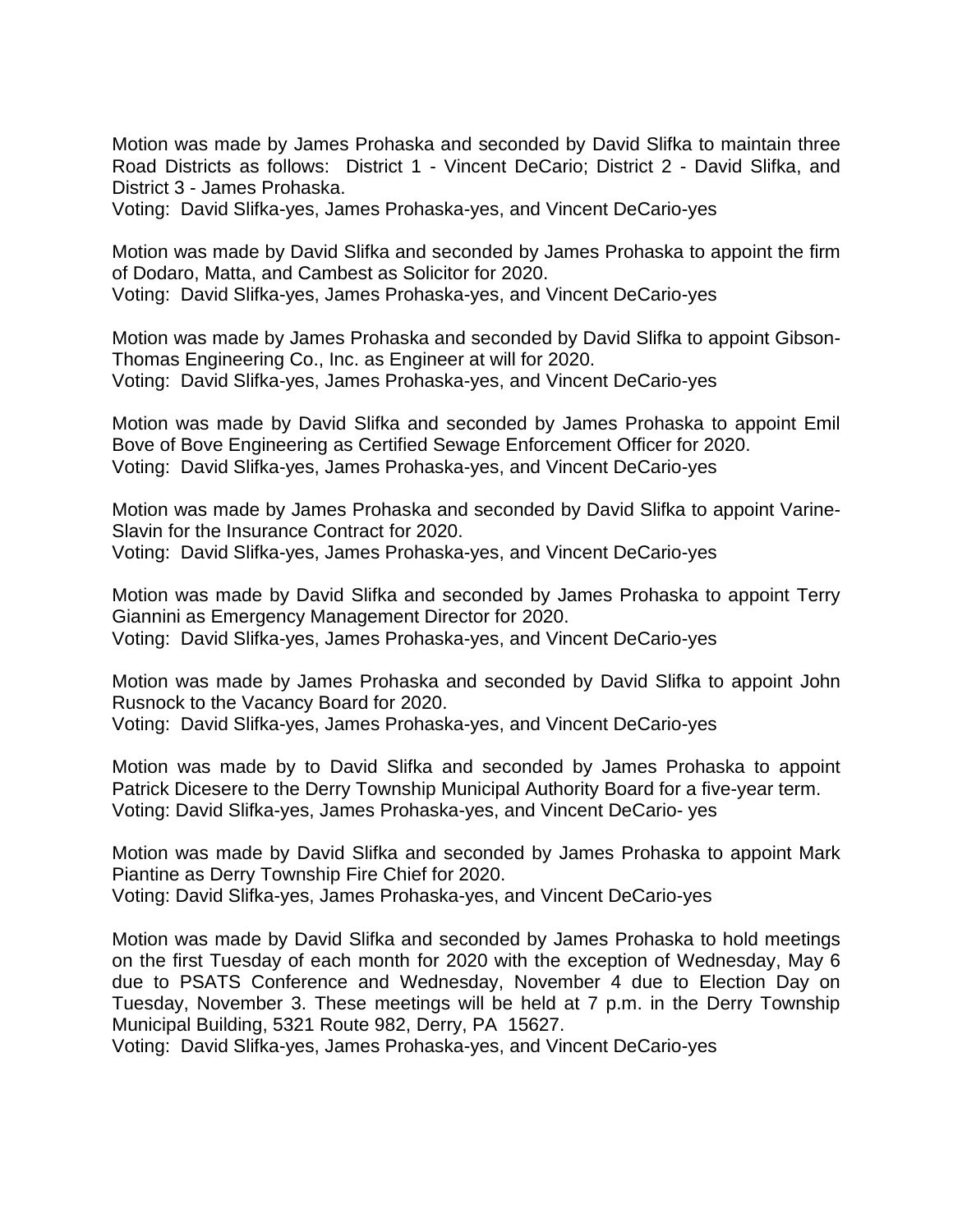Motion was made by James Prohaska and seconded by David Slifka to maintain three Road Districts as follows: District 1 - Vincent DeCario; District 2 - David Slifka, and District 3 - James Prohaska.

Voting: David Slifka-yes, James Prohaska-yes, and Vincent DeCario-yes

Motion was made by David Slifka and seconded by James Prohaska to appoint the firm of Dodaro, Matta, and Cambest as Solicitor for 2020. Voting: David Slifka-yes, James Prohaska-yes, and Vincent DeCario-yes

Motion was made by James Prohaska and seconded by David Slifka to appoint Gibson-Thomas Engineering Co., Inc. as Engineer at will for 2020. Voting: David Slifka-yes, James Prohaska-yes, and Vincent DeCario-yes

Motion was made by David Slifka and seconded by James Prohaska to appoint Emil Bove of Bove Engineering as Certified Sewage Enforcement Officer for 2020. Voting: David Slifka-yes, James Prohaska-yes, and Vincent DeCario-yes

Motion was made by James Prohaska and seconded by David Slifka to appoint Varine-Slavin for the Insurance Contract for 2020. Voting: David Slifka-yes, James Prohaska-yes, and Vincent DeCario-yes

Motion was made by David Slifka and seconded by James Prohaska to appoint Terry Giannini as Emergency Management Director for 2020. Voting: David Slifka-yes, James Prohaska-yes, and Vincent DeCario-yes

Motion was made by James Prohaska and seconded by David Slifka to appoint John Rusnock to the Vacancy Board for 2020.

Voting: David Slifka-yes, James Prohaska-yes, and Vincent DeCario-yes

Motion was made by to David Slifka and seconded by James Prohaska to appoint Patrick Dicesere to the Derry Township Municipal Authority Board for a five-year term. Voting: David Slifka-yes, James Prohaska-yes, and Vincent DeCario- yes

Motion was made by David Slifka and seconded by James Prohaska to appoint Mark Piantine as Derry Township Fire Chief for 2020.

Voting: David Slifka-yes, James Prohaska-yes, and Vincent DeCario-yes

Motion was made by David Slifka and seconded by James Prohaska to hold meetings on the first Tuesday of each month for 2020 with the exception of Wednesday, May 6 due to PSATS Conference and Wednesday, November 4 due to Election Day on Tuesday, November 3. These meetings will be held at 7 p.m. in the Derry Township Municipal Building, 5321 Route 982, Derry, PA 15627.

Voting: David Slifka-yes, James Prohaska-yes, and Vincent DeCario-yes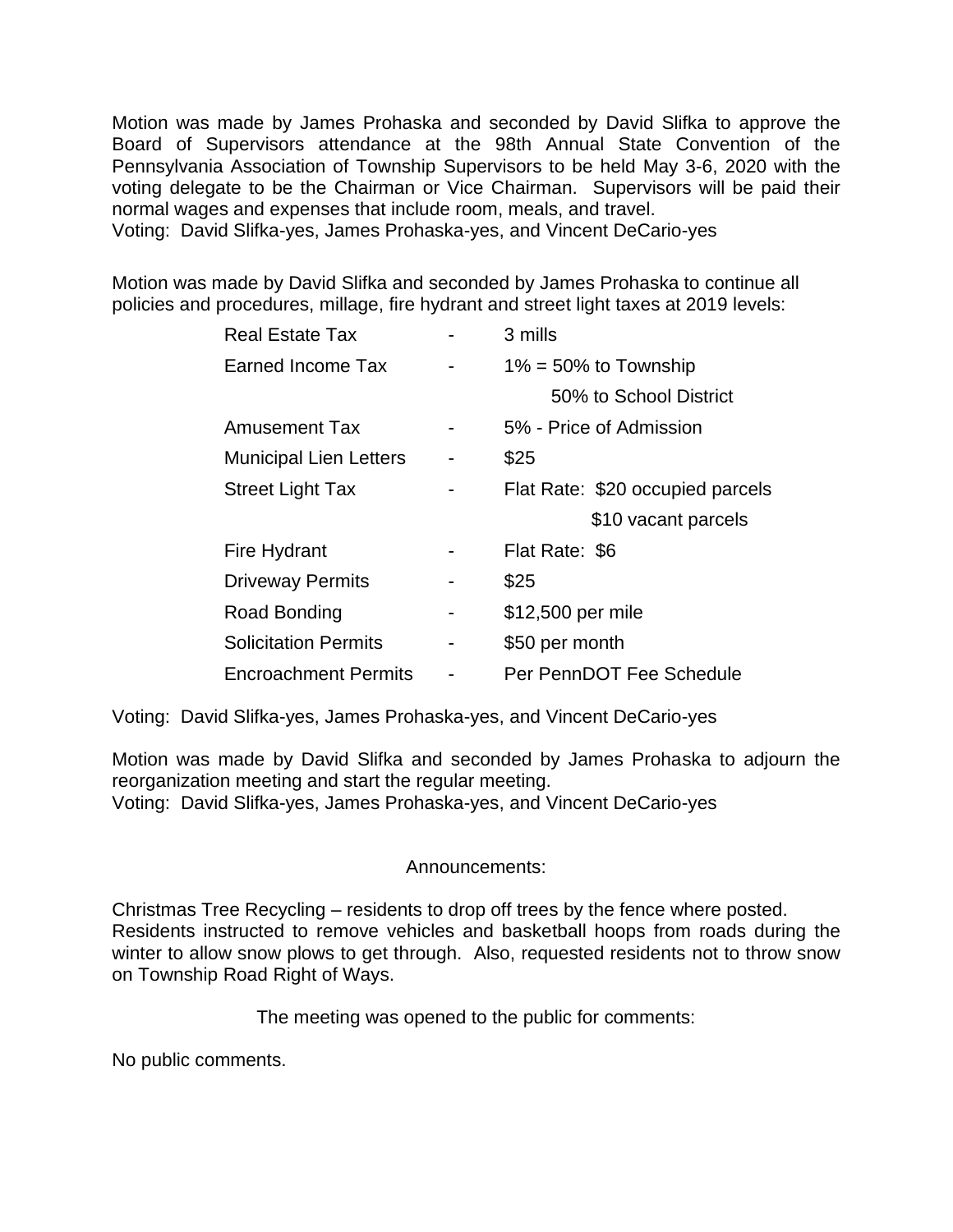Motion was made by James Prohaska and seconded by David Slifka to approve the Board of Supervisors attendance at the 98th Annual State Convention of the Pennsylvania Association of Township Supervisors to be held May 3-6, 2020 with the voting delegate to be the Chairman or Vice Chairman. Supervisors will be paid their normal wages and expenses that include room, meals, and travel.

Voting: David Slifka-yes, James Prohaska-yes, and Vincent DeCario-yes

Motion was made by David Slifka and seconded by James Prohaska to continue all policies and procedures, millage, fire hydrant and street light taxes at 2019 levels:

| <b>Real Estate Tax</b>        |   | 3 mills                          |
|-------------------------------|---|----------------------------------|
| Earned Income Tax             |   | $1\% = 50\%$ to Township         |
|                               |   | 50% to School District           |
| Amusement Tax                 |   | 5% - Price of Admission          |
| <b>Municipal Lien Letters</b> |   | \$25                             |
| <b>Street Light Tax</b>       |   | Flat Rate: \$20 occupied parcels |
|                               |   | \$10 vacant parcels              |
| Fire Hydrant                  |   | Flat Rate: \$6                   |
| <b>Driveway Permits</b>       |   | \$25                             |
| Road Bonding                  | - | \$12,500 per mile                |
| <b>Solicitation Permits</b>   | - | \$50 per month                   |
|                               |   |                                  |

Voting: David Slifka-yes, James Prohaska-yes, and Vincent DeCario-yes

Motion was made by David Slifka and seconded by James Prohaska to adjourn the reorganization meeting and start the regular meeting.

Voting: David Slifka-yes, James Prohaska-yes, and Vincent DeCario-yes

## Announcements:

Christmas Tree Recycling – residents to drop off trees by the fence where posted. Residents instructed to remove vehicles and basketball hoops from roads during the winter to allow snow plows to get through. Also, requested residents not to throw snow on Township Road Right of Ways.

The meeting was opened to the public for comments:

No public comments.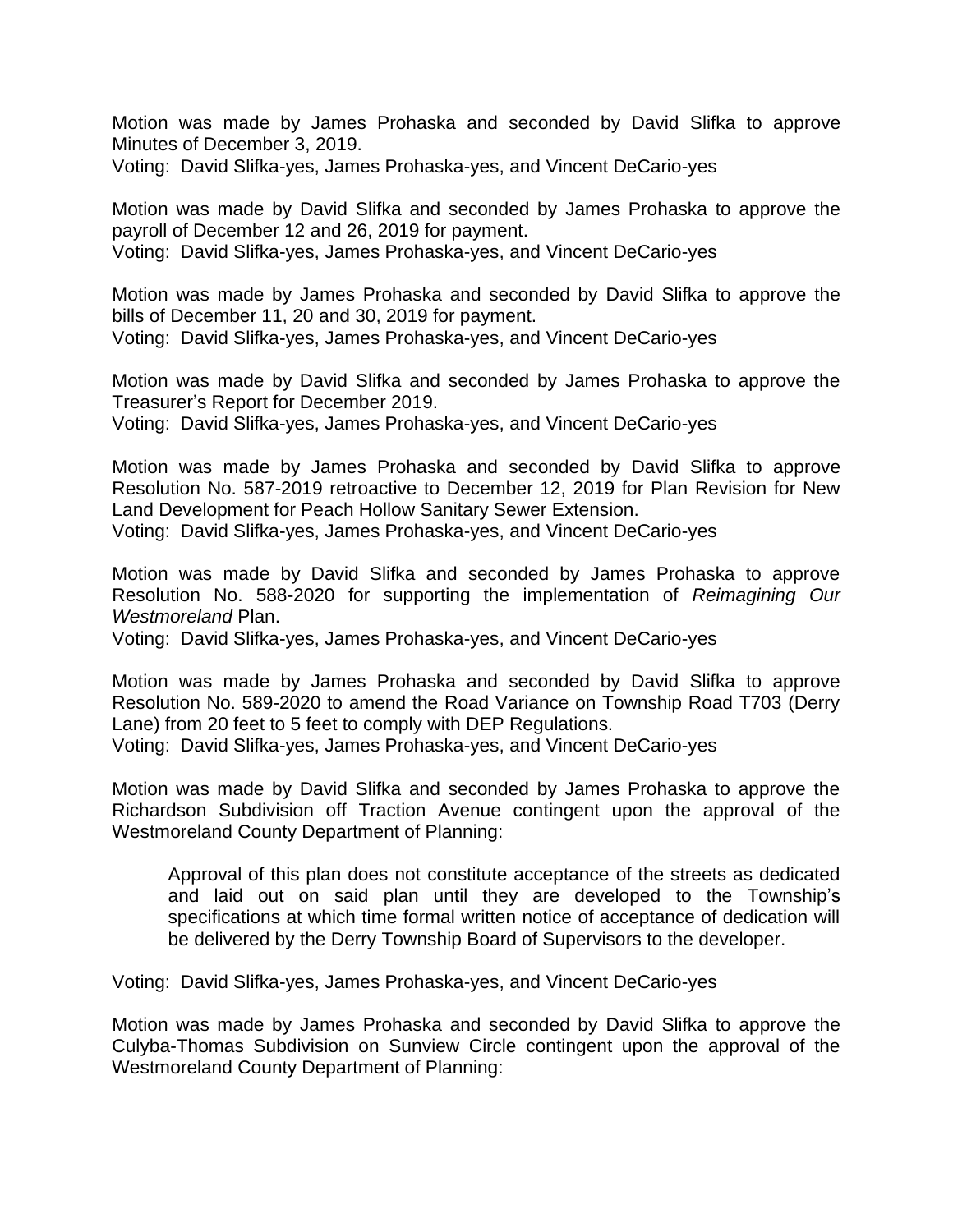Motion was made by James Prohaska and seconded by David Slifka to approve Minutes of December 3, 2019.

Voting: David Slifka-yes, James Prohaska-yes, and Vincent DeCario-yes

Motion was made by David Slifka and seconded by James Prohaska to approve the payroll of December 12 and 26, 2019 for payment. Voting: David Slifka-yes, James Prohaska-yes, and Vincent DeCario-yes

Motion was made by James Prohaska and seconded by David Slifka to approve the bills of December 11, 20 and 30, 2019 for payment. Voting: David Slifka-yes, James Prohaska-yes, and Vincent DeCario-yes

Motion was made by David Slifka and seconded by James Prohaska to approve the Treasurer's Report for December 2019.

Voting: David Slifka-yes, James Prohaska-yes, and Vincent DeCario-yes

Motion was made by James Prohaska and seconded by David Slifka to approve Resolution No. 587-2019 retroactive to December 12, 2019 for Plan Revision for New Land Development for Peach Hollow Sanitary Sewer Extension.

Voting: David Slifka-yes, James Prohaska-yes, and Vincent DeCario-yes

Motion was made by David Slifka and seconded by James Prohaska to approve Resolution No. 588-2020 for supporting the implementation of *Reimagining Our Westmoreland* Plan.

Voting: David Slifka-yes, James Prohaska-yes, and Vincent DeCario-yes

Motion was made by James Prohaska and seconded by David Slifka to approve Resolution No. 589-2020 to amend the Road Variance on Township Road T703 (Derry Lane) from 20 feet to 5 feet to comply with DEP Regulations.

Voting: David Slifka-yes, James Prohaska-yes, and Vincent DeCario-yes

Motion was made by David Slifka and seconded by James Prohaska to approve the Richardson Subdivision off Traction Avenue contingent upon the approval of the Westmoreland County Department of Planning:

Approval of this plan does not constitute acceptance of the streets as dedicated and laid out on said plan until they are developed to the Township's specifications at which time formal written notice of acceptance of dedication will be delivered by the Derry Township Board of Supervisors to the developer.

Voting: David Slifka-yes, James Prohaska-yes, and Vincent DeCario-yes

Motion was made by James Prohaska and seconded by David Slifka to approve the Culyba-Thomas Subdivision on Sunview Circle contingent upon the approval of the Westmoreland County Department of Planning: